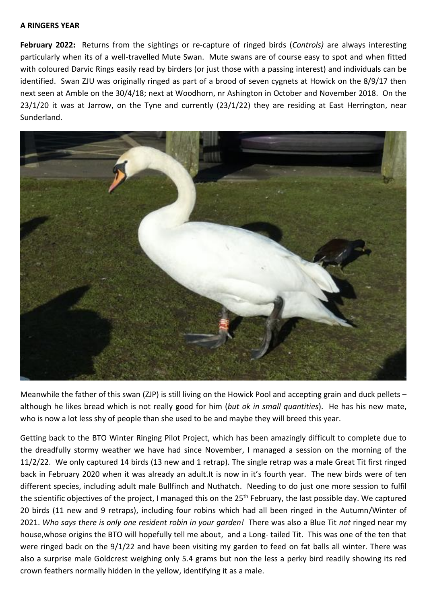## **A RINGERS YEAR**

**February 2022:** Returns from the sightings or re-capture of ringed birds (*Controls)* are always interesting particularly when its of a well-travelled Mute Swan. Mute swans are of course easy to spot and when fitted with coloured Darvic Rings easily read by birders (or just those with a passing interest) and individuals can be identified. Swan ZJU was originally ringed as part of a brood of seven cygnets at Howick on the 8/9/17 then next seen at Amble on the 30/4/18; next at Woodhorn, nr Ashington in October and November 2018. On the 23/1/20 it was at Jarrow, on the Tyne and currently (23/1/22) they are residing at East Herrington, near Sunderland.



Meanwhile the father of this swan (ZJP) is still living on the Howick Pool and accepting grain and duck pellets – although he likes bread which is not really good for him (*but ok in small quantities*). He has his new mate, who is now a lot less shy of people than she used to be and maybe they will breed this year.

Getting back to the BTO Winter Ringing Pilot Project, which has been amazingly difficult to complete due to the dreadfully stormy weather we have had since November, I managed a session on the morning of the 11/2/22. We only captured 14 birds (13 new and 1 retrap). The single retrap was a male Great Tit first ringed back in February 2020 when it was already an adult.It is now in it's fourth year. The new birds were of ten different species, including adult male Bullfinch and Nuthatch. Needing to do just one more session to fulfil the scientific objectives of the project, I managed this on the 25<sup>th</sup> February, the last possible day. We captured 20 birds (11 new and 9 retraps), including four robins which had all been ringed in the Autumn/Winter of 2021. *Who says there is only one resident robin in your garden!* There was also a Blue Tit *not* ringed near my house,whose origins the BTO will hopefully tell me about, and a Long- tailed Tit. This was one of the ten that were ringed back on the 9/1/22 and have been visiting my garden to feed on fat balls all winter. There was also a surprise male Goldcrest weighing only 5.4 grams but non the less a perky bird readily showing its red crown feathers normally hidden in the yellow, identifying it as a male.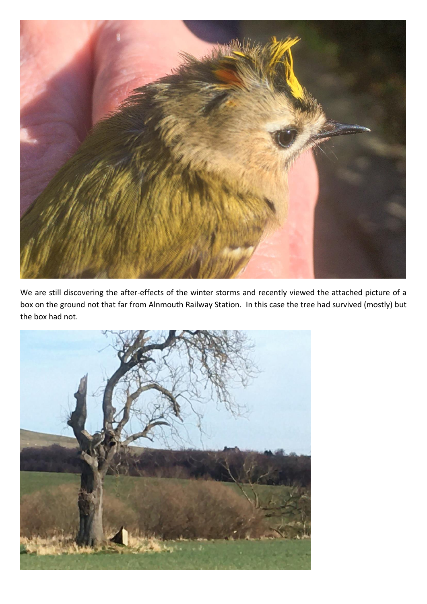

We are still discovering the after-effects of the winter storms and recently viewed the attached picture of a box on the ground not that far from Alnmouth Railway Station. In this case the tree had survived (mostly) but the box had not.